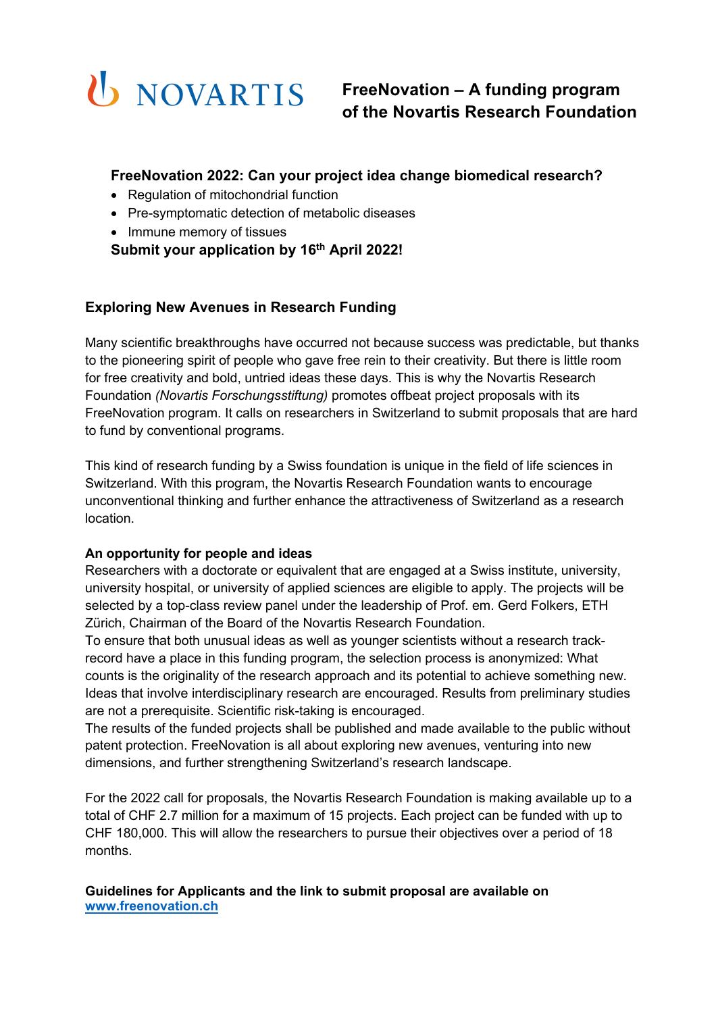# *U* NOVARTIS

**FreeNovation – A funding program of the Novartis Research Foundation**

## **FreeNovation 2022: Can your project idea change biomedical research?**

- Regulation of mitochondrial function
- Pre-symptomatic detection of metabolic diseases
- Immune memory of tissues

**Submit your application by 16th April 2022!**

# **Exploring New Avenues in Research Funding**

Many scientific breakthroughs have occurred not because success was predictable, but thanks to the pioneering spirit of people who gave free rein to their creativity. But there is little room for free creativity and bold, untried ideas these days. This is why the Novartis Research Foundation *(Novartis Forschungsstiftung)* promotes offbeat project proposals with its FreeNovation program. It calls on researchers in Switzerland to submit proposals that are hard to fund by conventional programs.

This kind of research funding by a Swiss foundation is unique in the field of life sciences in Switzerland. With this program, the Novartis Research Foundation wants to encourage unconventional thinking and further enhance the attractiveness of Switzerland as a research location.

## **An opportunity for people and ideas**

Researchers with a doctorate or equivalent that are engaged at a Swiss institute, university, university hospital, or university of applied sciences are eligible to apply. The projects will be selected by a top-class review panel under the leadership of Prof. em. Gerd Folkers, ETH Zürich, Chairman of the Board of the Novartis Research Foundation.

To ensure that both unusual ideas as well as younger scientists without a research trackrecord have a place in this funding program, the selection process is anonymized: What counts is the originality of the research approach and its potential to achieve something new. Ideas that involve interdisciplinary research are encouraged. Results from preliminary studies are not a prerequisite. Scientific risk-taking is encouraged.

The results of the funded projects shall be published and made available to the public without patent protection. FreeNovation is all about exploring new avenues, venturing into new dimensions, and further strengthening Switzerland's research landscape.

For the 2022 call for proposals, the Novartis Research Foundation is making available up to a total of CHF 2.7 million for a maximum of 15 projects. Each project can be funded with up to CHF 180,000. This will allow the researchers to pursue their objectives over a period of 18 months.

### **Guidelines for Applicants and the link to submit proposal are available on www.freenovation.ch**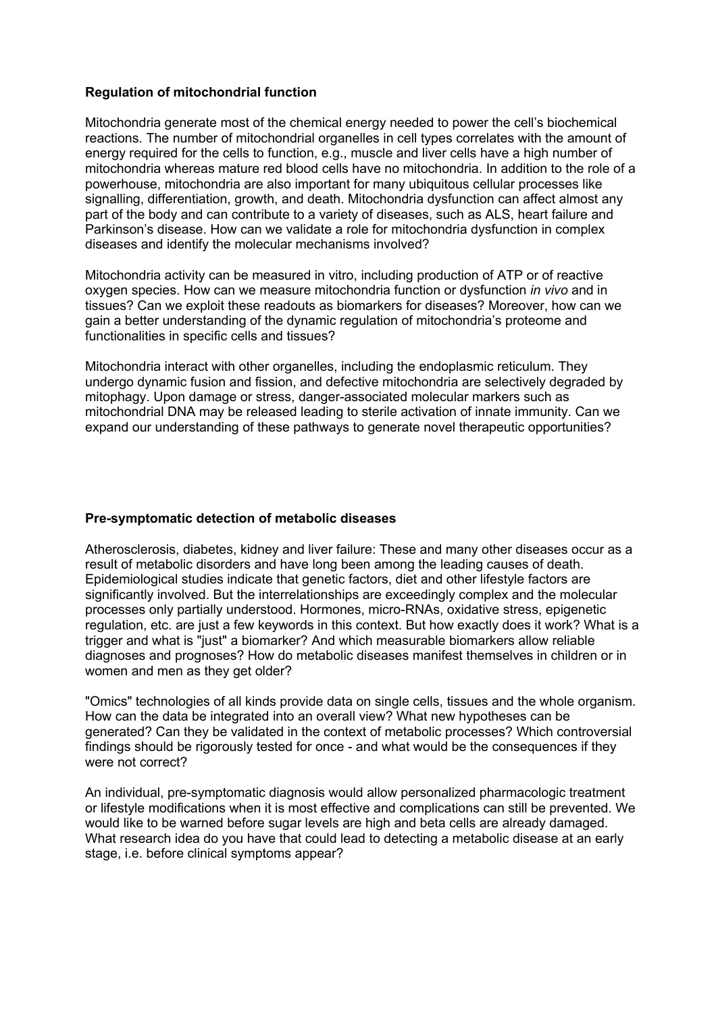### **Regulation of mitochondrial function**

Mitochondria generate most of the chemical energy needed to power the cell's biochemical reactions. The number of mitochondrial organelles in cell types correlates with the amount of energy required for the cells to function, e.g., muscle and liver cells have a high number of mitochondria whereas mature red blood cells have no mitochondria. In addition to the role of a powerhouse, mitochondria are also important for many ubiquitous cellular processes like signalling, differentiation, growth, and death. Mitochondria dysfunction can affect almost any part of the body and can contribute to a variety of diseases, such as ALS, heart failure and Parkinson's disease. How can we validate a role for mitochondria dysfunction in complex diseases and identify the molecular mechanisms involved?

Mitochondria activity can be measured in vitro, including production of ATP or of reactive oxygen species. How can we measure mitochondria function or dysfunction *in vivo* and in tissues? Can we exploit these readouts as biomarkers for diseases? Moreover, how can we gain a better understanding of the dynamic regulation of mitochondria's proteome and functionalities in specific cells and tissues?

Mitochondria interact with other organelles, including the endoplasmic reticulum. They undergo dynamic fusion and fission, and defective mitochondria are selectively degraded by mitophagy. Upon damage or stress, danger-associated molecular markers such as mitochondrial DNA may be released leading to sterile activation of innate immunity. Can we expand our understanding of these pathways to generate novel therapeutic opportunities?

#### **Pre-symptomatic detection of metabolic diseases**

Atherosclerosis, diabetes, kidney and liver failure: These and many other diseases occur as a result of metabolic disorders and have long been among the leading causes of death. Epidemiological studies indicate that genetic factors, diet and other lifestyle factors are significantly involved. But the interrelationships are exceedingly complex and the molecular processes only partially understood. Hormones, micro-RNAs, oxidative stress, epigenetic regulation, etc. are just a few keywords in this context. But how exactly does it work? What is a trigger and what is "just" a biomarker? And which measurable biomarkers allow reliable diagnoses and prognoses? How do metabolic diseases manifest themselves in children or in women and men as they get older?

"Omics" technologies of all kinds provide data on single cells, tissues and the whole organism. How can the data be integrated into an overall view? What new hypotheses can be generated? Can they be validated in the context of metabolic processes? Which controversial findings should be rigorously tested for once - and what would be the consequences if they were not correct?

An individual, pre-symptomatic diagnosis would allow personalized pharmacologic treatment or lifestyle modifications when it is most effective and complications can still be prevented. We would like to be warned before sugar levels are high and beta cells are already damaged. What research idea do you have that could lead to detecting a metabolic disease at an early stage, i.e. before clinical symptoms appear?